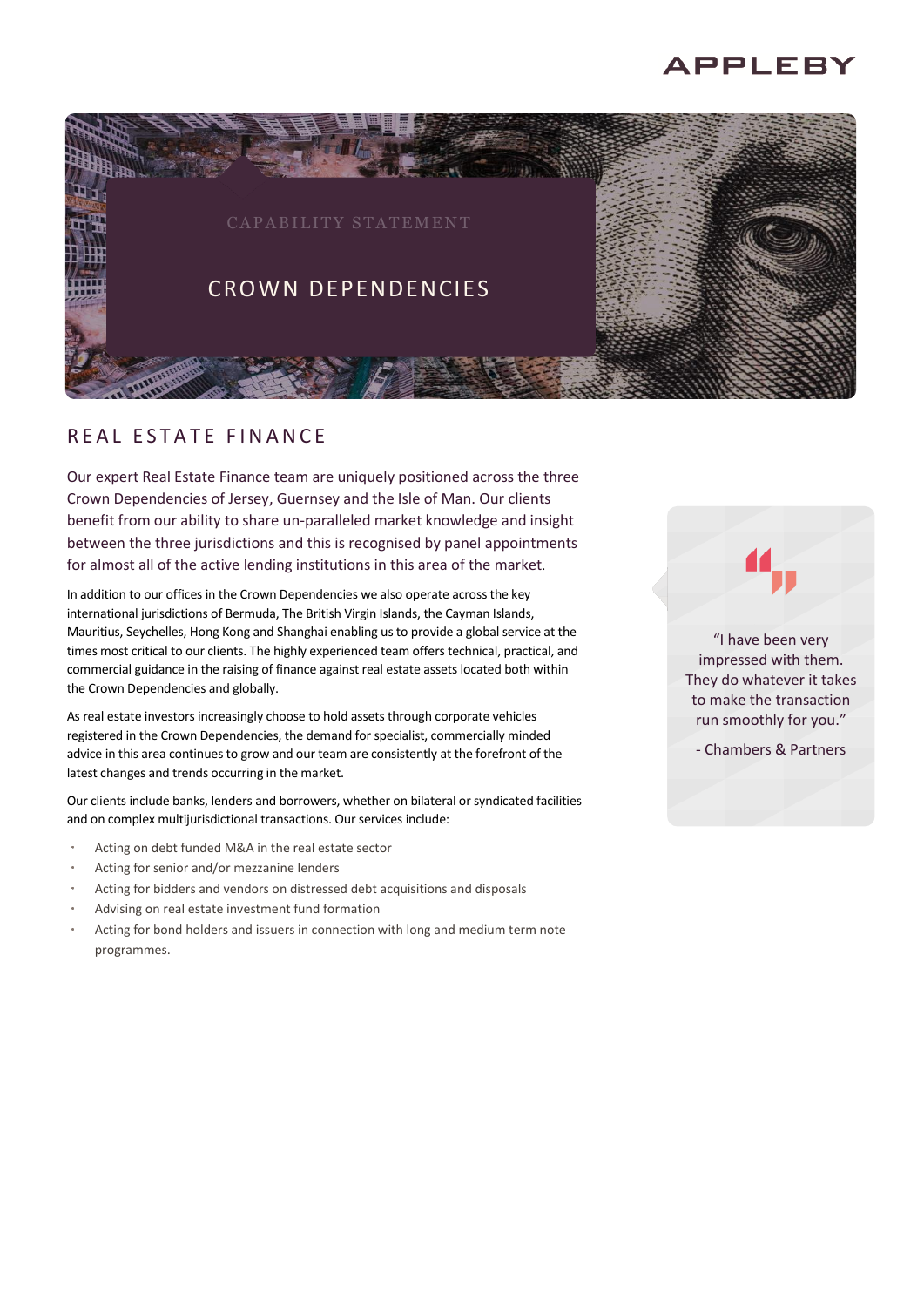# **APPLEBY**



## R F A L E S T A T F F I N A N C F

Our expert Real Estate Finance team are uniquely positioned across the three Crown Dependencies of Jersey, Guernsey and the Isle of Man. Our clients benefit from our ability to share un-paralleled market knowledge and insight between the three jurisdictions and this is recognised by panel appointments for almost all of the active lending institutions in this area of the market.

In addition to our offices in the Crown Dependencies we also operate across the key international jurisdictions of Bermuda, The British Virgin Islands, the Cayman Islands, Mauritius, Seychelles, Hong Kong and Shanghai enabling us to provide a global service at the times most critical to our clients. The highly experienced team offers technical, practical, and commercial guidance in the raising of finance against real estate assets located both within the Crown Dependencies and globally.

As real estate investors increasingly choose to hold assets through corporate vehicles registered in the Crown Dependencies, the demand for specialist, commercially minded advice in this area continues to grow and our team are consistently at the forefront of the latest changes and trends occurring in the market.

Our clients include banks, lenders and borrowers, whether on bilateral or syndicated facilities and on complex multijurisdictional transactions. Our services include:

- Acting on debt funded M&A in the real estate sector
- Acting for senior and/or mezzanine lenders
- Acting for bidders and vendors on distressed debt acquisitions and disposals
- Advising on real estate investment fund formation
- Acting for bond holders and issuers in connection with long and medium term note programmes.

"I have been very impressed with them. They do whatever it takes to make the transaction run smoothly for you."

- Chambers & Partners